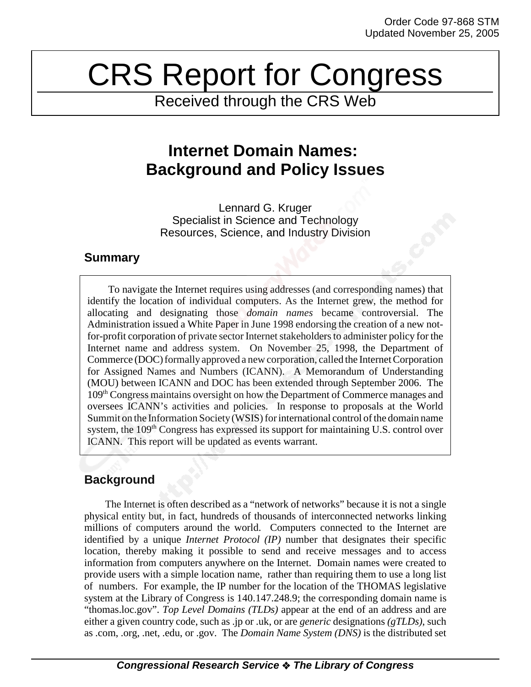# CRS Report for Congress

Received through the CRS Web

## **Internet Domain Names: Background and Policy Issues**

Lennard G. Kruger Specialist in Science and Technology Resources, Science, and Industry Division

### **Summary**

To navigate the Internet requires using addresses (and corresponding names) that identify the location of individual computers. As the Internet grew, the method for allocating and designating those *domain names* became controversial. The Administration issued a White Paper in June 1998 endorsing the creation of a new notfor-profit corporation of private sector Internet stakeholders to administer policy for the Internet name and address system. On November 25, 1998, the Department of Commerce (DOC) formally approved a new corporation, called the Internet Corporation for Assigned Names and Numbers (ICANN). A Memorandum of Understanding (MOU) between ICANN and DOC has been extended through September 2006. The 109th Congress maintains oversight on how the Department of Commerce manages and oversees ICANN's activities and policies. In response to proposals at the World Summit on the Information Society (WSIS) for international control of the domain name system, the 109<sup>th</sup> Congress has expressed its support for maintaining U.S. control over ICANN. This report will be updated as events warrant.

## **Background**

The Internet is often described as a "network of networks" because it is not a single physical entity but, in fact, hundreds of thousands of interconnected networks linking millions of computers around the world. Computers connected to the Internet are identified by a unique *Internet Protocol (IP)* number that designates their specific location, thereby making it possible to send and receive messages and to access information from computers anywhere on the Internet. Domain names were created to provide users with a simple location name, rather than requiring them to use a long list of numbers. For example, the IP number for the location of the THOMAS legislative system at the Library of Congress is 140.147.248.9; the corresponding domain name is "thomas.loc.gov". *Top Level Domains (TLDs)* appear at the end of an address and are either a given country code, such as .jp or .uk, or are *generic* designations *(gTLDs)*, such as .com, .org, .net, .edu, or .gov. The *Domain Name System (DNS)* is the distributed set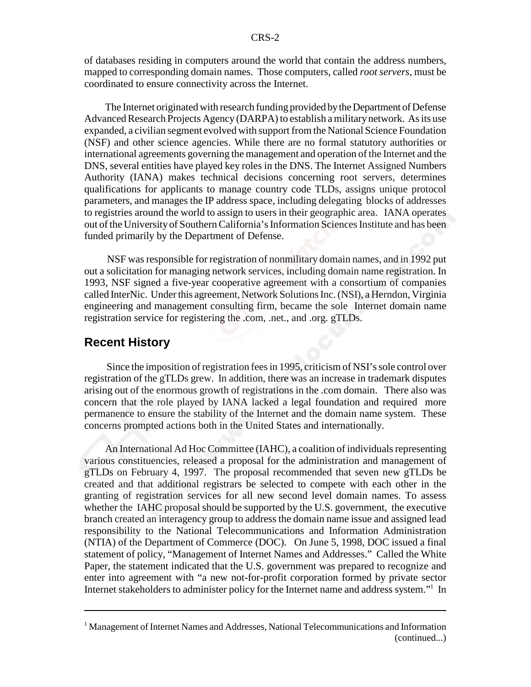of databases residing in computers around the world that contain the address numbers, mapped to corresponding domain names. Those computers, called *root servers*, must be coordinated to ensure connectivity across the Internet.

The Internet originated with research funding provided by the Department of Defense Advanced Research Projects Agency (DARPA) to establish a military network. As its use expanded, a civilian segment evolved with support from the National Science Foundation (NSF) and other science agencies. While there are no formal statutory authorities or international agreements governing the management and operation of the Internet and the DNS, several entities have played key roles in the DNS. The Internet Assigned Numbers Authority (IANA) makes technical decisions concerning root servers, determines qualifications for applicants to manage country code TLDs, assigns unique protocol parameters, and manages the IP address space, including delegating blocks of addresses to registries around the world to assign to users in their geographic area. IANA operates out of the University of Southern California's Information Sciences Institute and has been funded primarily by the Department of Defense.

 NSF was responsible for registration of nonmilitary domain names, and in 1992 put out a solicitation for managing network services, including domain name registration. In 1993, NSF signed a five-year cooperative agreement with a consortium of companies called InterNic. Under this agreement, Network Solutions Inc. (NSI), a Herndon, Virginia engineering and management consulting firm, became the sole Internet domain name registration service for registering the .com, .net., and .org. gTLDs.

#### **Recent History**

 Since the imposition of registration fees in 1995, criticism of NSI's sole control over registration of the gTLDs grew. In addition, there was an increase in trademark disputes arising out of the enormous growth of registrations in the .com domain. There also was concern that the role played by IANA lacked a legal foundation and required more permanence to ensure the stability of the Internet and the domain name system. These concerns prompted actions both in the United States and internationally.

An International Ad Hoc Committee (IAHC), a coalition of individuals representing various constituencies, released a proposal for the administration and management of gTLDs on February 4, 1997. The proposal recommended that seven new gTLDs be created and that additional registrars be selected to compete with each other in the granting of registration services for all new second level domain names. To assess whether the IAHC proposal should be supported by the U.S. government, the executive branch created an interagency group to address the domain name issue and assigned lead responsibility to the National Telecommunications and Information Administration (NTIA) of the Department of Commerce (DOC). On June 5, 1998, DOC issued a final statement of policy, "Management of Internet Names and Addresses." Called the White Paper, the statement indicated that the U.S. government was prepared to recognize and enter into agreement with "a new not-for-profit corporation formed by private sector Internet stakeholders to administer policy for the Internet name and address system."<sup>1</sup> In

<sup>&</sup>lt;sup>1</sup> Management of Internet Names and Addresses, National Telecommunications and Information (continued...)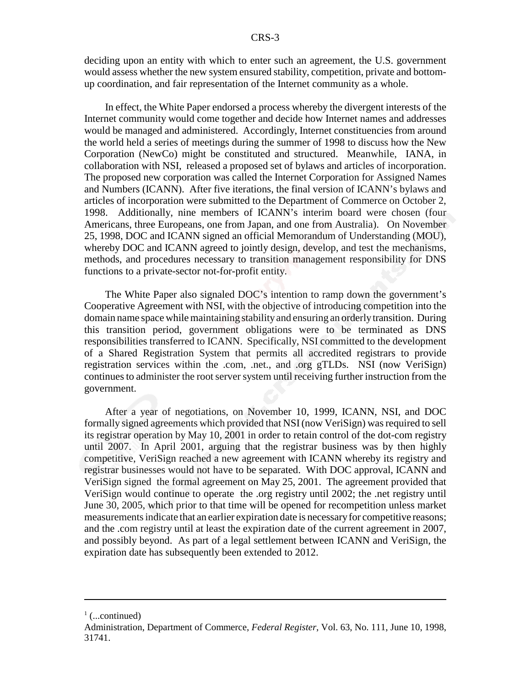deciding upon an entity with which to enter such an agreement, the U.S. government would assess whether the new system ensured stability, competition, private and bottomup coordination, and fair representation of the Internet community as a whole.

In effect, the White Paper endorsed a process whereby the divergent interests of the Internet community would come together and decide how Internet names and addresses would be managed and administered. Accordingly, Internet constituencies from around the world held a series of meetings during the summer of 1998 to discuss how the New Corporation (NewCo) might be constituted and structured. Meanwhile, IANA, in collaboration with NSI, released a proposed set of bylaws and articles of incorporation. The proposed new corporation was called the Internet Corporation for Assigned Names and Numbers (ICANN). After five iterations, the final version of ICANN's bylaws and articles of incorporation were submitted to the Department of Commerce on October 2, 1998. Additionally, nine members of ICANN's interim board were chosen (four Americans, three Europeans, one from Japan, and one from Australia). On November 25, 1998, DOC and ICANN signed an official Memorandum of Understanding (MOU), whereby DOC and ICANN agreed to jointly design, develop, and test the mechanisms, methods, and procedures necessary to transition management responsibility for DNS functions to a private-sector not-for-profit entity.

The White Paper also signaled DOC's intention to ramp down the government's Cooperative Agreement with NSI, with the objective of introducing competition into the domain name space while maintaining stability and ensuring an orderly transition. During this transition period, government obligations were to be terminated as DNS responsibilities transferred to ICANN. Specifically, NSI committed to the development of a Shared Registration System that permits all accredited registrars to provide registration services within the .com, .net., and .org gTLDs. NSI (now VeriSign) continues to administer the root server system until receiving further instruction from the government.

After a year of negotiations, on November 10, 1999, ICANN, NSI, and DOC formally signed agreements which provided that NSI (now VeriSign) was required to sell its registrar operation by May 10, 2001 in order to retain control of the dot-com registry until 2007. In April 2001, arguing that the registrar business was by then highly competitive, VeriSign reached a new agreement with ICANN whereby its registry and registrar businesses would not have to be separated. With DOC approval, ICANN and VeriSign signed the formal agreement on May 25, 2001. The agreement provided that VeriSign would continue to operate the .org registry until 2002; the .net registry until June 30, 2005, which prior to that time will be opened for recompetition unless market measurements indicate that an earlier expiration date is necessary for competitive reasons; and the .com registry until at least the expiration date of the current agreement in 2007, and possibly beyond. As part of a legal settlement between ICANN and VeriSign, the expiration date has subsequently been extended to 2012.

 $\frac{1}{1}$  (...continued)

Administration, Department of Commerce, *Federal Register*, Vol. 63, No. 111, June 10, 1998, 31741.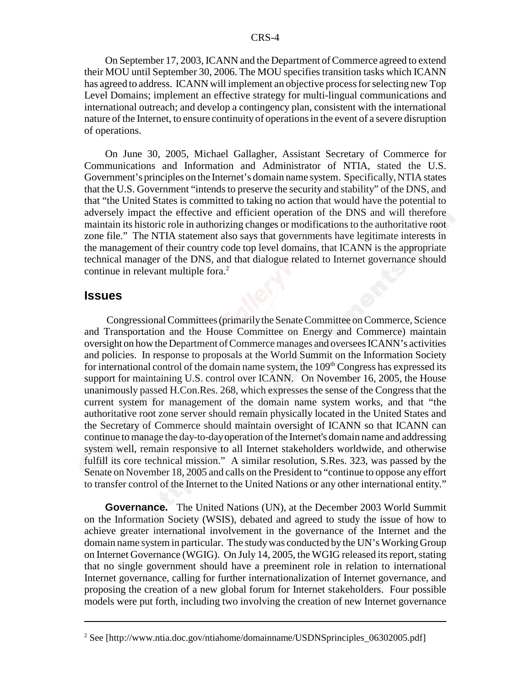On September 17, 2003, ICANN and the Department of Commerce agreed to extend their MOU until September 30, 2006. The MOU specifies transition tasks which ICANN has agreed to address. ICANN will implement an objective process for selecting new Top Level Domains; implement an effective strategy for multi-lingual communications and international outreach; and develop a contingency plan, consistent with the international nature of the Internet, to ensure continuity of operations in the event of a severe disruption of operations.

On June 30, 2005, Michael Gallagher, Assistant Secretary of Commerce for Communications and Information and Administrator of NTIA, stated the U.S. Government's principles on the Internet's domain name system. Specifically, NTIA states that the U.S. Government "intends to preserve the security and stability" of the DNS, and that "the United States is committed to taking no action that would have the potential to adversely impact the effective and efficient operation of the DNS and will therefore maintain its historic role in authorizing changes or modifications to the authoritative root zone file." The NTIA statement also says that governments have legitimate interests in the management of their country code top level domains, that ICANN is the appropriate technical manager of the DNS, and that dialogue related to Internet governance should continue in relevant multiple fora.<sup>2</sup>

#### **Issues**

 Congressional Committees (primarily the Senate Committee on Commerce, Science and Transportation and the House Committee on Energy and Commerce) maintain oversight on how the Department of Commerce manages and oversees ICANN's activities and policies. In response to proposals at the World Summit on the Information Society for international control of the domain name system, the  $109<sup>th</sup> Congress$  has expressed its support for maintaining U.S. control over ICANN. On November 16, 2005, the House unanimously passed H.Con.Res. 268, which expresses the sense of the Congress that the current system for management of the domain name system works, and that "the authoritative root zone server should remain physically located in the United States and the Secretary of Commerce should maintain oversight of ICANN so that ICANN can continue to manage the day-to-day operation of the Internet's domain name and addressing system well, remain responsive to all Internet stakeholders worldwide, and otherwise fulfill its core technical mission." A similar resolution, S.Res. 323, was passed by the Senate on November 18, 2005 and calls on the President to "continue to oppose any effort to transfer control of the Internet to the United Nations or any other international entity."

**Governance.** The United Nations (UN), at the December 2003 World Summit on the Information Society (WSIS), debated and agreed to study the issue of how to achieve greater international involvement in the governance of the Internet and the domain name system in particular. The study was conducted by the UN's Working Group on Internet Governance (WGIG). On July 14, 2005, the WGIG released its report, stating that no single government should have a preeminent role in relation to international Internet governance, calling for further internationalization of Internet governance, and proposing the creation of a new global forum for Internet stakeholders. Four possible models were put forth, including two involving the creation of new Internet governance

<sup>&</sup>lt;sup>2</sup> See [http://www.ntia.doc.gov/ntiahome/domainname/USDNSprinciples\_06302005.pdf]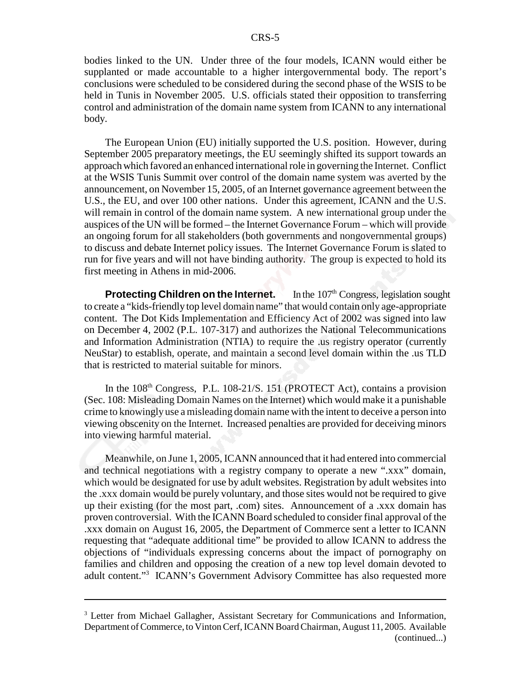bodies linked to the UN. Under three of the four models, ICANN would either be supplanted or made accountable to a higher intergovernmental body. The report's conclusions were scheduled to be considered during the second phase of the WSIS to be held in Tunis in November 2005. U.S. officials stated their opposition to transferring control and administration of the domain name system from ICANN to any international body.

The European Union (EU) initially supported the U.S. position. However, during September 2005 preparatory meetings, the EU seemingly shifted its support towards an approach which favored an enhanced international role in governing the Internet. Conflict at the WSIS Tunis Summit over control of the domain name system was averted by the announcement, on November 15, 2005, of an Internet governance agreement between the U.S., the EU, and over 100 other nations. Under this agreement, ICANN and the U.S. will remain in control of the domain name system. A new international group under the auspices of the UN will be formed – the Internet Governance Forum – which will provide an ongoing forum for all stakeholders (both governments and nongovernmental groups) to discuss and debate Internet policy issues. The Internet Governance Forum is slated to run for five years and will not have binding authority. The group is expected to hold its first meeting in Athens in mid-2006.

**Protecting Children on the Internet.** In the 107<sup>th</sup> Congress, legislation sought to create a "kids-friendly top level domain name" that would contain only age-appropriate content. The Dot Kids Implementation and Efficiency Act of 2002 was signed into law on December 4, 2002 (P.L. 107-317) and authorizes the National Telecommunications and Information Administration (NTIA) to require the .us registry operator (currently NeuStar) to establish, operate, and maintain a second level domain within the .us TLD that is restricted to material suitable for minors.

In the  $108<sup>th</sup>$  Congress, P.L.  $108-21/S$ . 151 (PROTECT Act), contains a provision (Sec. 108: Misleading Domain Names on the Internet) which would make it a punishable crime to knowingly use a misleading domain name with the intent to deceive a person into viewing obscenity on the Internet. Increased penalties are provided for deceiving minors into viewing harmful material.

Meanwhile, on June 1, 2005, ICANN announced that it had entered into commercial and technical negotiations with a registry company to operate a new ".xxx" domain, which would be designated for use by adult websites. Registration by adult websites into the .xxx domain would be purely voluntary, and those sites would not be required to give up their existing (for the most part, .com) sites. Announcement of a .xxx domain has proven controversial. With the ICANN Board scheduled to consider final approval of the .xxx domain on August 16, 2005, the Department of Commerce sent a letter to ICANN requesting that "adequate additional time" be provided to allow ICANN to address the objections of "individuals expressing concerns about the impact of pornography on families and children and opposing the creation of a new top level domain devoted to adult content."3 ICANN's Government Advisory Committee has also requested more

<sup>&</sup>lt;sup>3</sup> Letter from Michael Gallagher, Assistant Secretary for Communications and Information, Department of Commerce, to Vinton Cerf, ICANN Board Chairman, August 11, 2005. Available (continued...)